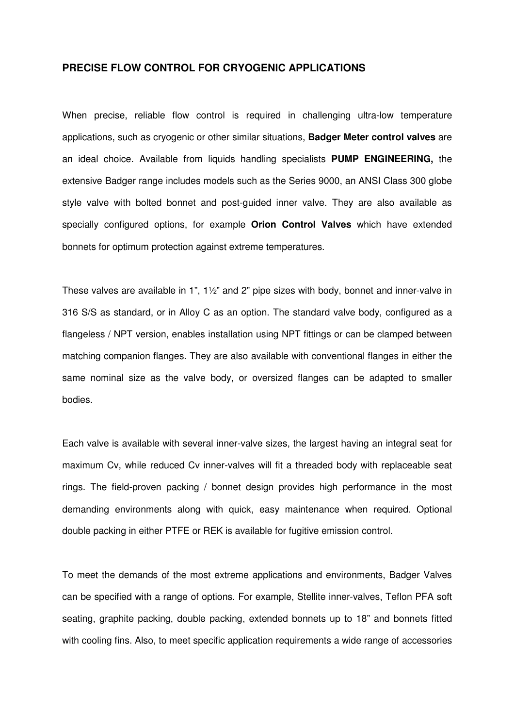## **PRECISE FLOW CONTROL FOR CRYOGENIC APPLICATIONS**

When precise, reliable flow control is required in challenging ultra-low temperature applications, such as cryogenic or other similar situations, **Badger Meter control valves** are an ideal choice. Available from liquids handling specialists **PUMP ENGINEERING,** the extensive Badger range includes models such as the Series 9000, an ANSI Class 300 globe style valve with bolted bonnet and post-guided inner valve. They are also available as specially configured options, for example **Orion Control Valves** which have extended bonnets for optimum protection against extreme temperatures.

These valves are available in 1", 1½" and 2" pipe sizes with body, bonnet and inner-valve in 316 S/S as standard, or in Alloy C as an option. The standard valve body, configured as a flangeless / NPT version, enables installation using NPT fittings or can be clamped between matching companion flanges. They are also available with conventional flanges in either the same nominal size as the valve body, or oversized flanges can be adapted to smaller bodies.

Each valve is available with several inner-valve sizes, the largest having an integral seat for maximum Cv, while reduced Cv inner-valves will fit a threaded body with replaceable seat rings. The field-proven packing / bonnet design provides high performance in the most demanding environments along with quick, easy maintenance when required. Optional double packing in either PTFE or REK is available for fugitive emission control.

To meet the demands of the most extreme applications and environments, Badger Valves can be specified with a range of options. For example, Stellite inner-valves, Teflon PFA soft seating, graphite packing, double packing, extended bonnets up to 18" and bonnets fitted with cooling fins. Also, to meet specific application requirements a wide range of accessories